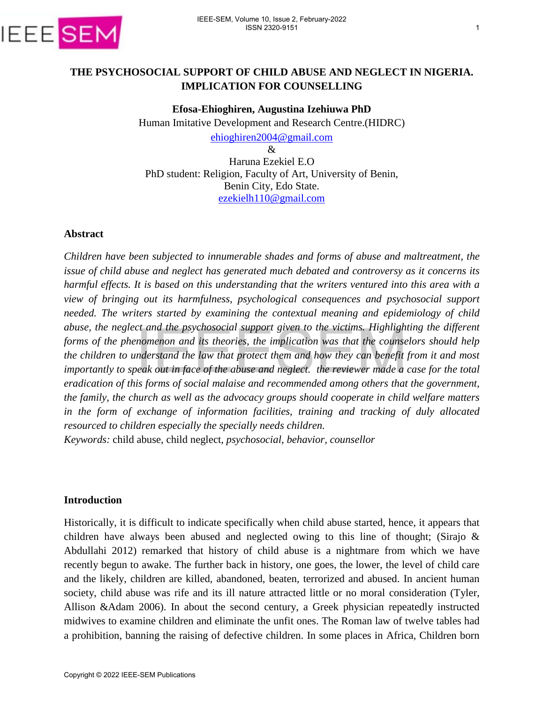

# **THE PSYCHOSOCIAL SUPPORT OF CHILD ABUSE AND NEGLECT IN NIGERIA. IMPLICATION FOR COUNSELLING**

**Efosa-Ehioghiren, Augustina Izehiuwa PhD**  Human Imitative Development and Research Centre.(HIDRC) [ehioghiren2004@gmail.com](mailto:ehioghiren2004@gmail.com) &

Haruna Ezekiel E.O PhD student: Religion, Faculty of Art, University of Benin, Benin City, Edo State. [ezekielh110@gmail.com](mailto:ezekielh110@gmail.com)

#### **Abstract**

*Children have been subjected to innumerable shades and forms of abuse and maltreatment, the issue of child abuse and neglect has generated much debated and controversy as it concerns its harmful effects. It is based on this understanding that the writers ventured into this area with a view of bringing out its harmfulness, psychological consequences and psychosocial support needed. The writers started by examining the contextual meaning and epidemiology of child abuse, the neglect and the psychosocial support given to the victims. Highlighting the different forms of the phenomenon and its theories, the implication was that the counselors should help the children to understand the law that protect them and how they can benefit from it and most importantly to speak out in face of the abuse and neglect. the reviewer made a case for the total eradication of this forms of social malaise and recommended among others that the government, the family, the church as well as the advocacy groups should cooperate in child welfare matters in the form of exchange of information facilities, training and tracking of duly allocated resourced to children especially the specially needs children.* 

*Keywords:* child abuse, child neglect, *psychosocial, behavior, counsellor* 

#### **Introduction**

Historically, it is difficult to indicate specifically when child abuse started, hence, it appears that children have always been abused and neglected owing to this line of thought; (Sirajo & Abdullahi 2012) remarked that history of child abuse is a nightmare from which we have recently begun to awake. The further back in history, one goes, the lower, the level of child care and the likely, children are killed, abandoned, beaten, terrorized and abused. In ancient human society, child abuse was rife and its ill nature attracted little or no moral consideration (Tyler, Allison &Adam 2006). In about the second century, a Greek physician repeatedly instructed midwives to examine children and eliminate the unfit ones. The Roman law of twelve tables had a prohibition, banning the raising of defective children. In some places in Africa, Children born abuse, the neglect and the psychosocial support given to the victims. They alternate, the informs of the phenomenon and its theories, the implication was that the course<br>the children to understand the law that protect them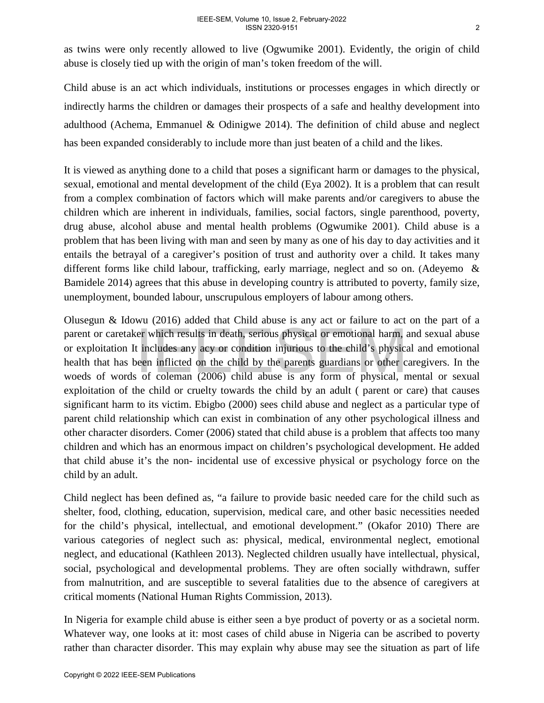as twins were only recently allowed to live (Ogwumike 2001). Evidently, the origin of child abuse is closely tied up with the origin of man's token freedom of the will.

Child abuse is an act which individuals, institutions or processes engages in which directly or indirectly harms the children or damages their prospects of a safe and healthy development into adulthood (Achema, Emmanuel & Odinigwe 2014). The definition of child abuse and neglect has been expanded considerably to include more than just beaten of a child and the likes.

It is viewed as anything done to a child that poses a significant harm or damages to the physical, sexual, emotional and mental development of the child (Eya 2002). It is a problem that can result from a complex combination of factors which will make parents and/or caregivers to abuse the children which are inherent in individuals, families, social factors, single parenthood, poverty, drug abuse, alcohol abuse and mental health problems (Ogwumike 2001). Child abuse is a problem that has been living with man and seen by many as one of his day to day activities and it entails the betrayal of a caregiver's position of trust and authority over a child. It takes many different forms like child labour, trafficking, early marriage, neglect and so on. (Adeyemo & Bamidele 2014) agrees that this abuse in developing country is attributed to poverty, family size, unemployment, bounded labour, unscrupulous employers of labour among others.

Olusegun & Idowu (2016) added that Child abuse is any act or failure to act on the part of a parent or caretaker which results in death, serious physical or emotional harm, and sexual abuse or exploitation It includes any acy or condition injurious to the child's physical and emotional health that has been inflicted on the child by the parents guardians or other caregivers. In the woeds of words of coleman (2006) child abuse is any form of physical, mental or sexual exploitation of the child or cruelty towards the child by an adult ( parent or care) that causes significant harm to its victim. Ebigbo (2000) sees child abuse and neglect as a particular type of parent child relationship which can exist in combination of any other psychological illness and other character disorders. Comer (2006) stated that child abuse is a problem that affects too many children and which has an enormous impact on children's psychological development. He added that child abuse it's the non- incidental use of excessive physical or psychology force on the child by an adult. parent or caretaker which results in death, serious physical or emotional harm, or exploitation It includes any acy or condition injurious to the child's physical<br>health that has been inflicted on the child by the parents

Child neglect has been defined as, "a failure to provide basic needed care for the child such as shelter, food, clothing, education, supervision, medical care, and other basic necessities needed for the child's physical, intellectual, and emotional development." (Okafor 2010) There are various categories of neglect such as: physical, medical, environmental neglect, emotional neglect, and educational (Kathleen 2013). Neglected children usually have intellectual, physical, social, psychological and developmental problems. They are often socially withdrawn, suffer from malnutrition, and are susceptible to several fatalities due to the absence of caregivers at critical moments (National Human Rights Commission, 2013).

In Nigeria for example child abuse is either seen a bye product of poverty or as a societal norm. Whatever way, one looks at it: most cases of child abuse in Nigeria can be ascribed to poverty rather than character disorder. This may explain why abuse may see the situation as part of life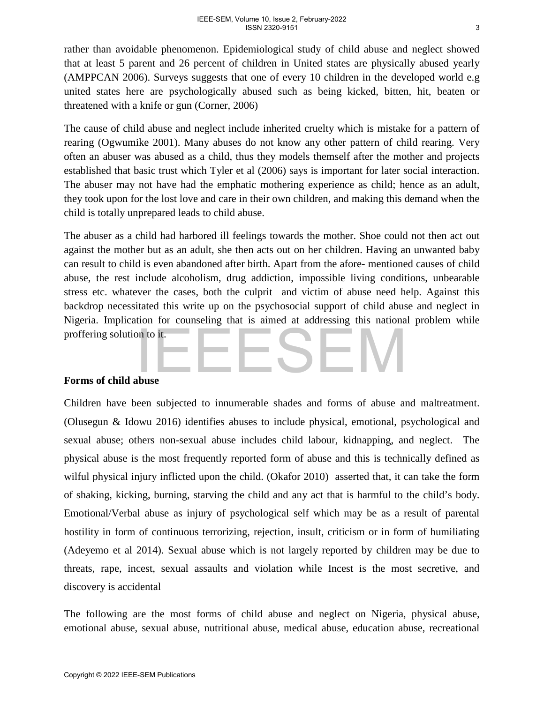rather than avoidable phenomenon. Epidemiological study of child abuse and neglect showed that at least 5 parent and 26 percent of children in United states are physically abused yearly (AMPPCAN 2006). Surveys suggests that one of every 10 children in the developed world e.g united states here are psychologically abused such as being kicked, bitten, hit, beaten or threatened with a knife or gun (Corner, 2006)

The cause of child abuse and neglect include inherited cruelty which is mistake for a pattern of rearing (Ogwumike 2001). Many abuses do not know any other pattern of child rearing. Very often an abuser was abused as a child, thus they models themself after the mother and projects established that basic trust which Tyler et al (2006) says is important for later social interaction. The abuser may not have had the emphatic mothering experience as child; hence as an adult, they took upon for the lost love and care in their own children, and making this demand when the child is totally unprepared leads to child abuse.

The abuser as a child had harbored ill feelings towards the mother. Shoe could not then act out against the mother but as an adult, she then acts out on her children. Having an unwanted baby can result to child is even abandoned after birth. Apart from the afore- mentioned causes of child abuse, the rest include alcoholism, drug addiction, impossible living conditions, unbearable stress etc. whatever the cases, both the culprit and victim of abuse need help. Against this backdrop necessitated this write up on the psychosocial support of child abuse and neglect in Nigeria. Implication for counseling that is aimed at addressing this national problem while proffering solution to it.

### **Forms of child abuse**

Children have been subjected to innumerable shades and forms of abuse and maltreatment. (Olusegun & Idowu 2016) identifies abuses to include physical, emotional, psychological and sexual abuse; others non-sexual abuse includes child labour, kidnapping, and neglect. The physical abuse is the most frequently reported form of abuse and this is technically defined as wilful physical injury inflicted upon the child. (Okafor 2010) asserted that, it can take the form of shaking, kicking, burning, starving the child and any act that is harmful to the child's body. Emotional/Verbal abuse as injury of psychological self which may be as a result of parental hostility in form of continuous terrorizing, rejection, insult, criticism or in form of humiliating (Adeyemo et al 2014). Sexual abuse which is not largely reported by children may be due to threats, rape, incest, sexual assaults and violation while Incest is the most secretive, and discovery is accidental proffering solution to it.<br> **Eorms of child abuse**<br>
Children have been subjected to innumerable shades and forms of abuse are<br>
Children have been subjected to innumerable shades and forms of abuse are<br>
colusegun & Idowu 20

The following are the most forms of child abuse and neglect on Nigeria, physical abuse, emotional abuse, sexual abuse, nutritional abuse, medical abuse, education abuse, recreational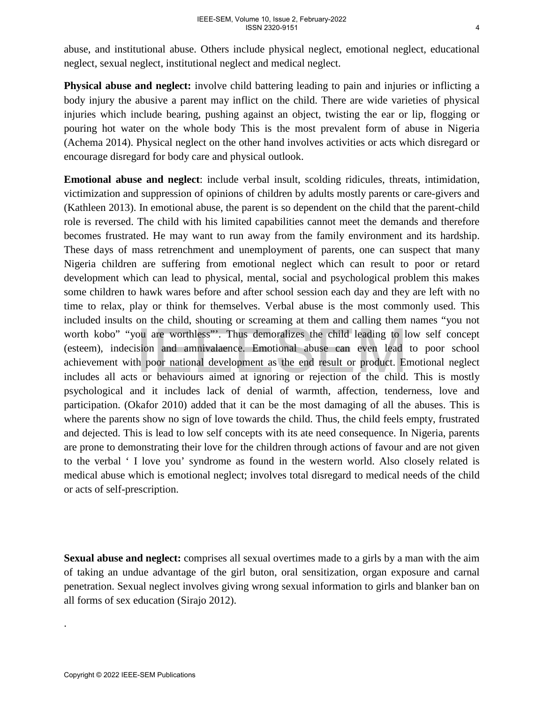abuse, and institutional abuse. Others include physical neglect, emotional neglect, educational neglect, sexual neglect, institutional neglect and medical neglect.

**Physical abuse and neglect:** involve child battering leading to pain and injuries or inflicting a body injury the abusive a parent may inflict on the child. There are wide varieties of physical injuries which include bearing, pushing against an object, twisting the ear or lip, flogging or pouring hot water on the whole body This is the most prevalent form of abuse in Nigeria (Achema 2014). Physical neglect on the other hand involves activities or acts which disregard or encourage disregard for body care and physical outlook.

**Emotional abuse and neglect**: include verbal insult, scolding ridicules, threats, intimidation, victimization and suppression of opinions of children by adults mostly parents or care-givers and (Kathleen 2013). In emotional abuse, the parent is so dependent on the child that the parent-child role is reversed. The child with his limited capabilities cannot meet the demands and therefore becomes frustrated. He may want to run away from the family environment and its hardship. These days of mass retrenchment and unemployment of parents, one can suspect that many Nigeria children are suffering from emotional neglect which can result to poor or retard development which can lead to physical, mental, social and psychological problem this makes some children to hawk wares before and after school session each day and they are left with no time to relax, play or think for themselves. Verbal abuse is the most commonly used. This included insults on the child, shouting or screaming at them and calling them names "you not worth kobo" "you are worthless"'. Thus demoralizes the child leading to low self concept (esteem), indecision and amnivalaence. Emotional abuse can even lead to poor school achievement with poor national development as the end result or product. Emotional neglect includes all acts or behaviours aimed at ignoring or rejection of the child. This is mostly psychological and it includes lack of denial of warmth, affection, tenderness, love and participation. (Okafor 2010) added that it can be the most damaging of all the abuses. This is where the parents show no sign of love towards the child. Thus, the child feels empty, frustrated and dejected. This is lead to low self concepts with its ate need consequence. In Nigeria, parents are prone to demonstrating their love for the children through actions of favour and are not given to the verbal ' I love you' syndrome as found in the western world. Also closely related is medical abuse which is emotional neglect; involves total disregard to medical needs of the child or acts of self-prescription. worth kobo" "you are worthless"". Thus demoralizes the child leading to 1<br>(esteem), indecision and amnivalaence. Emotional abuse can even lead<br>achievement with poor national development as the end result or product. E<br>incl

**Sexual abuse and neglect:** comprises all sexual overtimes made to a girls by a man with the aim of taking an undue advantage of the girl buton, oral sensitization, organ exposure and carnal penetration. Sexual neglect involves giving wrong sexual information to girls and blanker ban on all forms of sex education (Sirajo 2012).

.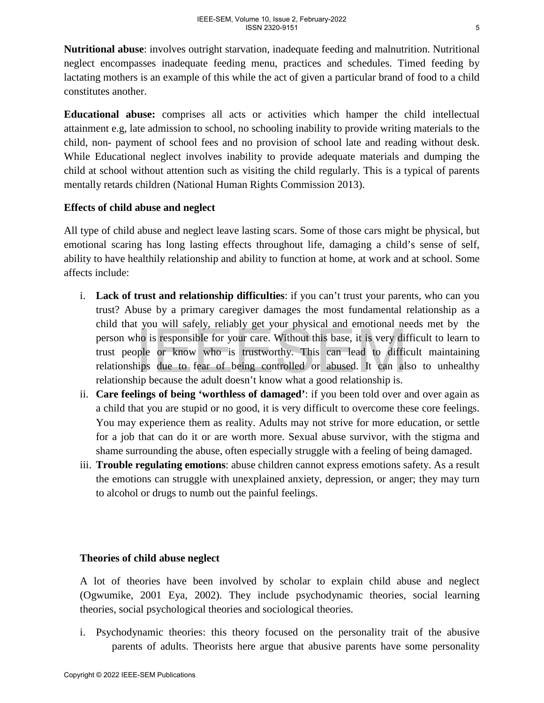**Nutritional abuse**: involves outright starvation, inadequate feeding and malnutrition. Nutritional neglect encompasses inadequate feeding menu, practices and schedules. Timed feeding by lactating mothers is an example of this while the act of given a particular brand of food to a child constitutes another.

**Educational abuse:** comprises all acts or activities which hamper the child intellectual attainment e.g, late admission to school, no schooling inability to provide writing materials to the child, non- payment of school fees and no provision of school late and reading without desk. While Educational neglect involves inability to provide adequate materials and dumping the child at school without attention such as visiting the child regularly. This is a typical of parents mentally retards children (National Human Rights Commission 2013).

## **Effects of child abuse and neglect**

All type of child abuse and neglect leave lasting scars. Some of those cars might be physical, but emotional scaring has long lasting effects throughout life, damaging a child's sense of self, ability to have healthily relationship and ability to function at home, at work and at school. Some affects include:

- i. **Lack of trust and relationship difficulties**: if you can't trust your parents, who can you trust? Abuse by a primary caregiver damages the most fundamental relationship as a child that you will safely, reliably get your physical and emotional needs met by the person who is responsible for your care. Without this base, it is very difficult to learn to trust people or know who is trustworthy. This can lead to difficult maintaining relationships due to fear of being controlled or abused. It can also to unhealthy relationship because the adult doesn't know what a good relationship is.
- ii. **Care feelings of being 'worthless of damaged'**: if you been told over and over again as a child that you are stupid or no good, it is very difficult to overcome these core feelings. You may experience them as reality. Adults may not strive for more education, or settle for a job that can do it or are worth more. Sexual abuse survivor, with the stigma and shame surrounding the abuse, often especially struggle with a feeling of being damaged. The time by which sinces, y cannot all the positive for the preson who is responsible for your care. Without this base, it is very differentionships deue to fear of being controlled or abused. It can all relationships bec
	- iii. **Trouble regulating emotions**: abuse children cannot express emotions safety. As a result the emotions can struggle with unexplained anxiety, depression, or anger; they may turn to alcohol or drugs to numb out the painful feelings.

# **Theories of child abuse neglect**

A lot of theories have been involved by scholar to explain child abuse and neglect (Ogwumike, 2001 Eya, 2002). They include psychodynamic theories, social learning theories, social psychological theories and sociological theories.

i. Psychodynamic theories: this theory focused on the personality trait of the abusive parents of adults. Theorists here argue that abusive parents have some personality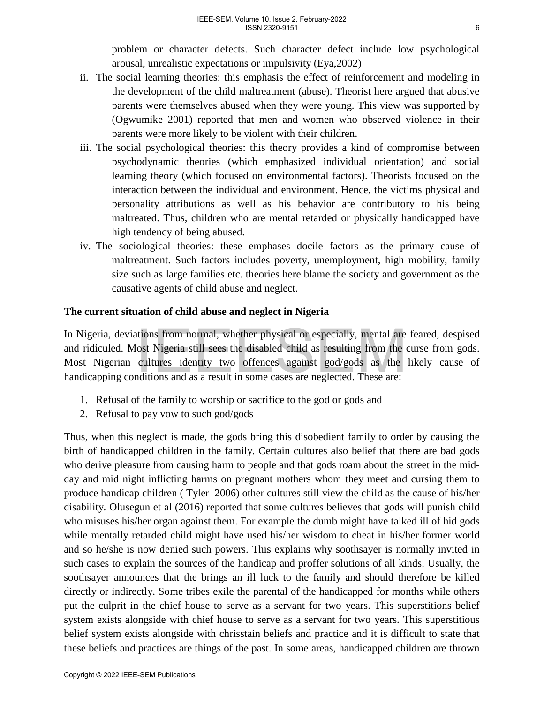problem or character defects. Such character defect include low psychological arousal, unrealistic expectations or impulsivity (Eya,2002)

- ii. The social learning theories: this emphasis the effect of reinforcement and modeling in the development of the child maltreatment (abuse). Theorist here argued that abusive parents were themselves abused when they were young. This view was supported by (Ogwumike 2001) reported that men and women who observed violence in their parents were more likely to be violent with their children.
- iii. The social psychological theories: this theory provides a kind of compromise between psychodynamic theories (which emphasized individual orientation) and social learning theory (which focused on environmental factors). Theorists focused on the interaction between the individual and environment. Hence, the victims physical and personality attributions as well as his behavior are contributory to his being maltreated. Thus, children who are mental retarded or physically handicapped have high tendency of being abused.
- iv. The sociological theories: these emphases docile factors as the primary cause of maltreatment. Such factors includes poverty, unemployment, high mobility, family size such as large families etc. theories here blame the society and government as the causative agents of child abuse and neglect.

## **The current situation of child abuse and neglect in Nigeria**

In Nigeria, deviations from normal, whether physical or especially, mental are feared, despised and ridiculed. Most Nigeria still sees the disabled child as resulting from the curse from gods. Most Nigerian cultures identity two offences against god/gods as the likely cause of handicapping conditions and as a result in some cases are neglected. These are:

- 1. Refusal of the family to worship or sacrifice to the god or gods and
- 2. Refusal to pay vow to such god/gods

Thus, when this neglect is made, the gods bring this disobedient family to order by causing the birth of handicapped children in the family. Certain cultures also belief that there are bad gods who derive pleasure from causing harm to people and that gods roam about the street in the midday and mid night inflicting harms on pregnant mothers whom they meet and cursing them to produce handicap children ( Tyler 2006) other cultures still view the child as the cause of his/her disability. Olusegun et al (2016) reported that some cultures believes that gods will punish child who misuses his/her organ against them. For example the dumb might have talked ill of hid gods while mentally retarded child might have used his/her wisdom to cheat in his/her former world and so he/she is now denied such powers. This explains why soothsayer is normally invited in such cases to explain the sources of the handicap and proffer solutions of all kinds. Usually, the soothsayer announces that the brings an ill luck to the family and should therefore be killed directly or indirectly. Some tribes exile the parental of the handicapped for months while others put the culprit in the chief house to serve as a servant for two years. This superstitions belief system exists alongside with chief house to serve as a servant for two years. This superstitious belief system exists alongside with chrisstain beliefs and practice and it is difficult to state that these beliefs and practices are things of the past. In some areas, handicapped children are thrown In Nigeria, deviations from normal, whether physical or especially, mental are and ridiculed. Most Nigeria still sees the disabled child as resulting from the Most Nigerian cultures identity two offences ageainst good/god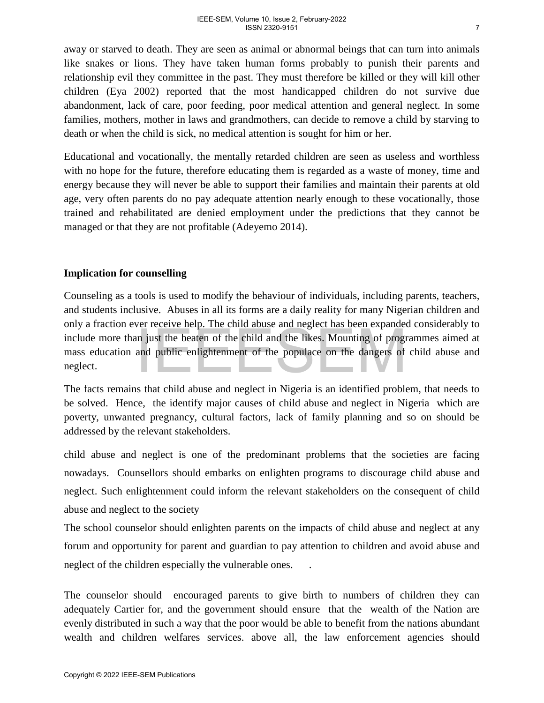away or starved to death. They are seen as animal or abnormal beings that can turn into animals like snakes or lions. They have taken human forms probably to punish their parents and relationship evil they committee in the past. They must therefore be killed or they will kill other children (Eya 2002) reported that the most handicapped children do not survive due abandonment, lack of care, poor feeding, poor medical attention and general neglect. In some families, mothers, mother in laws and grandmothers, can decide to remove a child by starving to death or when the child is sick, no medical attention is sought for him or her.

Educational and vocationally, the mentally retarded children are seen as useless and worthless with no hope for the future, therefore educating them is regarded as a waste of money, time and energy because they will never be able to support their families and maintain their parents at old age, very often parents do no pay adequate attention nearly enough to these vocationally, those trained and rehabilitated are denied employment under the predictions that they cannot be managed or that they are not profitable (Adeyemo 2014).

### **Implication for counselling**

Counseling as a tools is used to modify the behaviour of individuals, including parents, teachers, and students inclusive.Abuses in all its forms are a daily reality for many Nigerian children and only a fraction ever receive help. The child abuse and neglect has been expanded considerably to include more than just the beaten of the child and the likes. Mounting of programmes aimed at mass education and public enlightenment of the populace on the dangers of child abuse and neglect.

The facts remains that child abuse and neglect in Nigeria is an identified problem, that needs to be solved. Hence, the identify major causes of child abuse and neglect in Nigeria which are poverty, unwanted pregnancy, cultural factors, lack of family planning and so on should be addressed by the relevant stakeholders.

child abuse and neglect is one of the predominant problems that the societies are facing nowadays. Counsellors should embarks on enlighten programs to discourage child abuse and neglect. Such enlightenment could inform the relevant stakeholders on the consequent of child abuse and neglect to the society only a nation over tector and photometric means are a more and a present and expertiment of the proparames education and public enlightenment of the populace on the dangers of meglect.<br>The facts remains that child abuse an

The school counselor should enlighten parents on the impacts of child abuse and neglect at any forum and opportunity for parent and guardian to pay attention to children and avoid abuse and neglect of the children especially the vulnerable ones. .

The counselor should encouraged parents to give birth to numbers of children they can adequately Cartier for, and the government should ensure that the wealth of the Nation are evenly distributed in such a way that the poor would be able to benefit from the nations abundant wealth and children welfares services. above all, the law enforcement agencies should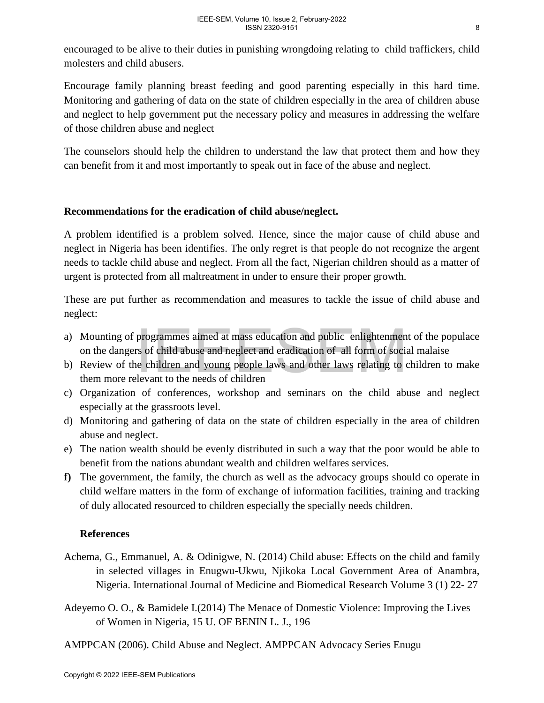encouraged to be alive to their duties in punishing wrongdoing relating to child traffickers, child molesters and child abusers.

Encourage family planning breast feeding and good parenting especially in this hard time. Monitoring and gathering of data on the state of children especially in the area of children abuse and neglect to help government put the necessary policy and measures in addressing the welfare of those children abuse and neglect

The counselors should help the children to understand the law that protect them and how they can benefit from it and most importantly to speak out in face of the abuse and neglect.

## **Recommendations for the eradication of child abuse/neglect.**

A problem identified is a problem solved. Hence, since the major cause of child abuse and neglect in Nigeria has been identifies. The only regret is that people do not recognize the argent needs to tackle child abuse and neglect. From all the fact, Nigerian children should as a matter of urgent is protected from all maltreatment in under to ensure their proper growth.

These are put further as recommendation and measures to tackle the issue of child abuse and neglect:

- a) Mounting of programmes aimed at mass education and public enlightenment of the populace on the dangers of child abuse and neglect and eradication of all form of social malaise
- b) Review of the children and young people laws and other laws relating to children to make them more relevant to the needs of children
- c) Organization of conferences, workshop and seminars on the child abuse and neglect especially at the grassroots level.
- d) Monitoring and gathering of data on the state of children especially in the area of children abuse and neglect.
- e) The nation wealth should be evenly distributed in such a way that the poor would be able to benefit from the nations abundant wealth and children welfares services.
- **f)** The government, the family, the church as well as the advocacy groups should co operate in child welfare matters in the form of exchange of information facilities, training and tracking of duly allocated resourced to children especially the specially needs children. (a) Mounting of programmes aimed at mass education and public enlightennies<br>on the dangers of child abuse and neglect and eradication of all form of social<br>by Review of the children and young people laws and other laws re

# **References**

- Achema, G., Emmanuel, A. & Odinigwe, N. (2014) Child abuse: Effects on the child and family in selected villages in Enugwu-Ukwu, Njikoka Local Government Area of Anambra, Nigeria. International Journal of Medicine and Biomedical Research Volume 3 (1) 22- 27
- Adeyemo O. O., & Bamidele I.(2014) The Menace of Domestic Violence: Improving the Lives of Women in Nigeria, 15 U. OF BENIN L. J., 196
- AMPPCAN (2006). Child Abuse and Neglect. AMPPCAN Advocacy Series Enugu

8